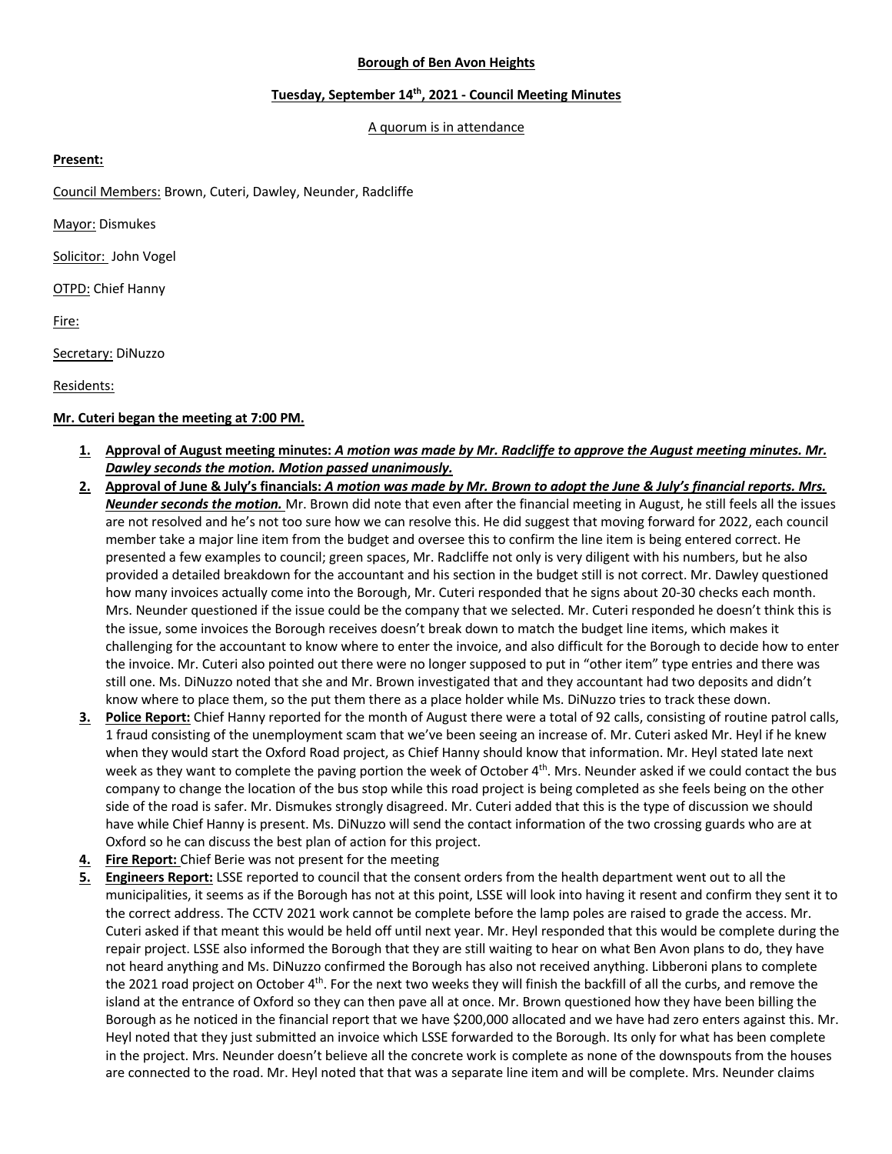## **Borough of Ben Avon Heights**

### **Tuesday, September 14th, 2021 - Council Meeting Minutes**

#### A quorum is in attendance

## **Present:**

Council Members: Brown, Cuteri, Dawley, Neunder, Radcliffe

Mayor: Dismukes

Solicitor: John Vogel

**OTPD: Chief Hanny** 

Fire:

Secretary: DiNuzzo

Residents:

# **Mr. Cuteri began the meeting at 7:00 PM.**

- **1. Approval of August meeting minutes:** *A motion was made by Mr. Radcliffe to approve the August meeting minutes. Mr. Dawley seconds the motion. Motion passed unanimously.*
- **2. Approval of June & July's financials:** *A motion was made by Mr. Brown to adopt the June & July's financial reports. Mrs. Neunder seconds the motion.* Mr. Brown did note that even after the financial meeting in August, he still feels all the issues are not resolved and he's not too sure how we can resolve this. He did suggest that moving forward for 2022, each council member take a major line item from the budget and oversee this to confirm the line item is being entered correct. He presented a few examples to council; green spaces, Mr. Radcliffe not only is very diligent with his numbers, but he also provided a detailed breakdown for the accountant and his section in the budget still is not correct. Mr. Dawley questioned how many invoices actually come into the Borough, Mr. Cuteri responded that he signs about 20-30 checks each month. Mrs. Neunder questioned if the issue could be the company that we selected. Mr. Cuteri responded he doesn't think this is the issue, some invoices the Borough receives doesn't break down to match the budget line items, which makes it challenging for the accountant to know where to enter the invoice, and also difficult for the Borough to decide how to enter the invoice. Mr. Cuteri also pointed out there were no longer supposed to put in "other item" type entries and there was still one. Ms. DiNuzzo noted that she and Mr. Brown investigated that and they accountant had two deposits and didn't know where to place them, so the put them there as a place holder while Ms. DiNuzzo tries to track these down.
- **3. Police Report:** Chief Hanny reported for the month of August there were a total of 92 calls, consisting of routine patrol calls, 1 fraud consisting of the unemployment scam that we've been seeing an increase of. Mr. Cuteri asked Mr. Heyl if he knew when they would start the Oxford Road project, as Chief Hanny should know that information. Mr. Heyl stated late next week as they want to complete the paving portion the week of October 4<sup>th</sup>. Mrs. Neunder asked if we could contact the bus company to change the location of the bus stop while this road project is being completed as she feels being on the other side of the road is safer. Mr. Dismukes strongly disagreed. Mr. Cuteri added that this is the type of discussion we should have while Chief Hanny is present. Ms. DiNuzzo will send the contact information of the two crossing guards who are at Oxford so he can discuss the best plan of action for this project.
- **4. Fire Report:** Chief Berie was not present for the meeting
- **5. Engineers Report:** LSSE reported to council that the consent orders from the health department went out to all the municipalities, it seems as if the Borough has not at this point, LSSE will look into having it resent and confirm they sent it to the correct address. The CCTV 2021 work cannot be complete before the lamp poles are raised to grade the access. Mr. Cuteri asked if that meant this would be held off until next year. Mr. Heyl responded that this would be complete during the repair project. LSSE also informed the Borough that they are still waiting to hear on what Ben Avon plans to do, they have not heard anything and Ms. DiNuzzo confirmed the Borough has also not received anything. Libberoni plans to complete the 2021 road project on October 4<sup>th</sup>. For the next two weeks they will finish the backfill of all the curbs, and remove the island at the entrance of Oxford so they can then pave all at once. Mr. Brown questioned how they have been billing the Borough as he noticed in the financial report that we have \$200,000 allocated and we have had zero enters against this. Mr. Heyl noted that they just submitted an invoice which LSSE forwarded to the Borough. Its only for what has been complete in the project. Mrs. Neunder doesn't believe all the concrete work is complete as none of the downspouts from the houses are connected to the road. Mr. Heyl noted that that was a separate line item and will be complete. Mrs. Neunder claims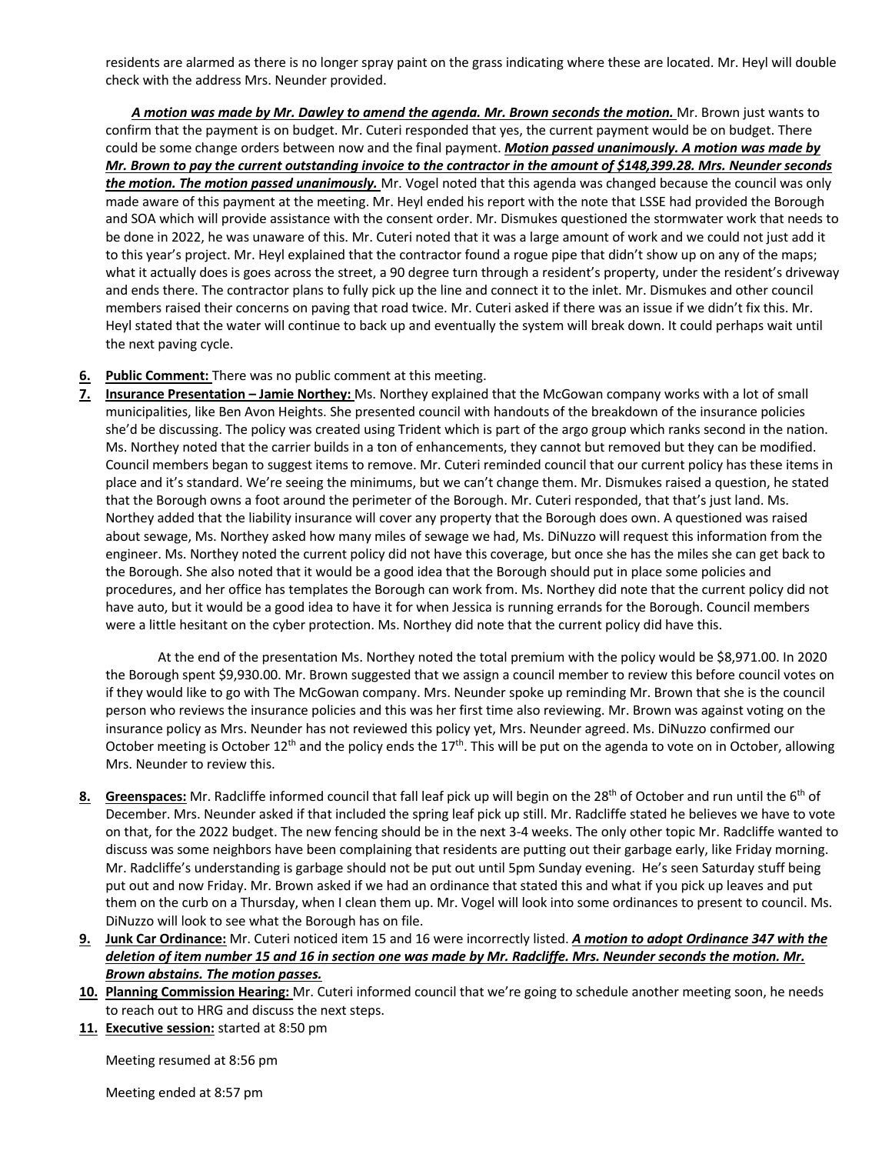residents are alarmed as there is no longer spray paint on the grass indicating where these are located. Mr. Heyl will double check with the address Mrs. Neunder provided.

A motion was made by Mr. Dawley to amend the agenda. Mr. Brown seconds the motion. Mr. Brown just wants to confirm that the payment is on budget. Mr. Cuteri responded that yes, the current payment would be on budget. There could be some change orders between now and the final payment. *Motion passed unanimously. A motion was made by Mr. Brown to pay the current outstanding invoice to the contractor in the amount of \$148,399.28. Mrs. Neunder seconds the motion. The motion passed unanimously.* Mr. Vogel noted that this agenda was changed because the council was only made aware of this payment at the meeting. Mr. Heyl ended his report with the note that LSSE had provided the Borough and SOA which will provide assistance with the consent order. Mr. Dismukes questioned the stormwater work that needs to be done in 2022, he was unaware of this. Mr. Cuteri noted that it was a large amount of work and we could not just add it to this year's project. Mr. Heyl explained that the contractor found a rogue pipe that didn't show up on any of the maps; what it actually does is goes across the street, a 90 degree turn through a resident's property, under the resident's driveway and ends there. The contractor plans to fully pick up the line and connect it to the inlet. Mr. Dismukes and other council members raised their concerns on paving that road twice. Mr. Cuteri asked if there was an issue if we didn't fix this. Mr. Heyl stated that the water will continue to back up and eventually the system will break down. It could perhaps wait until the next paving cycle.

- **6. Public Comment:** There was no public comment at this meeting.
- **7. Insurance Presentation – Jamie Northey:** Ms. Northey explained that the McGowan company works with a lot of small municipalities, like Ben Avon Heights. She presented council with handouts of the breakdown of the insurance policies she'd be discussing. The policy was created using Trident which is part of the argo group which ranks second in the nation. Ms. Northey noted that the carrier builds in a ton of enhancements, they cannot but removed but they can be modified. Council members began to suggest items to remove. Mr. Cuteri reminded council that our current policy has these items in place and it's standard. We're seeing the minimums, but we can't change them. Mr. Dismukes raised a question, he stated that the Borough owns a foot around the perimeter of the Borough. Mr. Cuteri responded, that that's just land. Ms. Northey added that the liability insurance will cover any property that the Borough does own. A questioned was raised about sewage, Ms. Northey asked how many miles of sewage we had, Ms. DiNuzzo will request this information from the engineer. Ms. Northey noted the current policy did not have this coverage, but once she has the miles she can get back to the Borough. She also noted that it would be a good idea that the Borough should put in place some policies and procedures, and her office has templates the Borough can work from. Ms. Northey did note that the current policy did not have auto, but it would be a good idea to have it for when Jessica is running errands for the Borough. Council members were a little hesitant on the cyber protection. Ms. Northey did note that the current policy did have this.

At the end of the presentation Ms. Northey noted the total premium with the policy would be \$8,971.00. In 2020 the Borough spent \$9,930.00. Mr. Brown suggested that we assign a council member to review this before council votes on if they would like to go with The McGowan company. Mrs. Neunder spoke up reminding Mr. Brown that she is the council person who reviews the insurance policies and this was her first time also reviewing. Mr. Brown was against voting on the insurance policy as Mrs. Neunder has not reviewed this policy yet, Mrs. Neunder agreed. Ms. DiNuzzo confirmed our October meeting is October 12<sup>th</sup> and the policy ends the 17<sup>th</sup>. This will be put on the agenda to vote on in October, allowing Mrs. Neunder to review this.

- 8. Greenspaces: Mr. Radcliffe informed council that fall leaf pick up will begin on the 28<sup>th</sup> of October and run until the 6<sup>th</sup> of December. Mrs. Neunder asked if that included the spring leaf pick up still. Mr. Radcliffe stated he believes we have to vote on that, for the 2022 budget. The new fencing should be in the next 3-4 weeks. The only other topic Mr. Radcliffe wanted to discuss was some neighbors have been complaining that residents are putting out their garbage early, like Friday morning. Mr. Radcliffe's understanding is garbage should not be put out until 5pm Sunday evening. He's seen Saturday stuff being put out and now Friday. Mr. Brown asked if we had an ordinance that stated this and what if you pick up leaves and put them on the curb on a Thursday, when I clean them up. Mr. Vogel will look into some ordinances to present to council. Ms. DiNuzzo will look to see what the Borough has on file.
- **9. Junk Car Ordinance:** Mr. Cuteri noticed item 15 and 16 were incorrectly listed. *A motion to adopt Ordinance 347 with the deletion of item number 15 and 16 in section one was made by Mr. Radcliffe. Mrs. Neunder seconds the motion. Mr. Brown abstains. The motion passes.*
- **10. Planning Commission Hearing:** Mr. Cuteri informed council that we're going to schedule another meeting soon, he needs to reach out to HRG and discuss the next steps.
- **11. Executive session:** started at 8:50 pm

Meeting resumed at 8:56 pm

Meeting ended at 8:57 pm